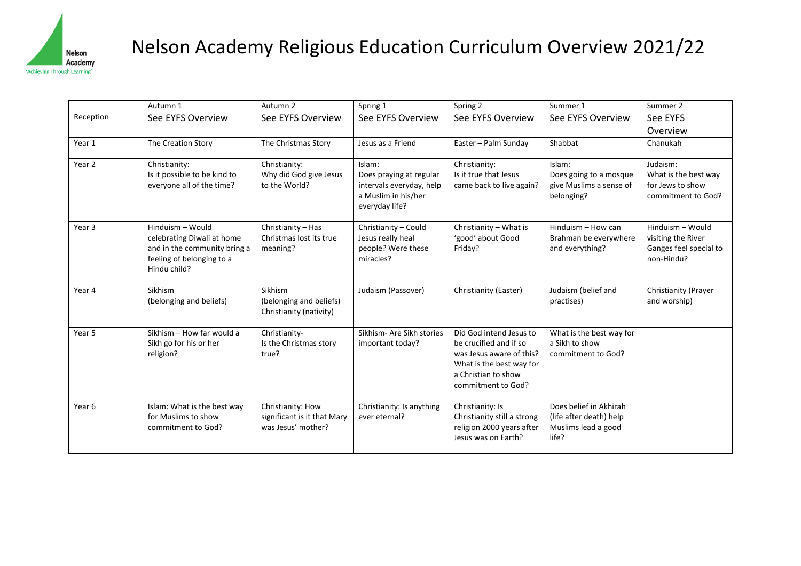

## Nelson Academy Religious Education Curriculum Overview 2021/22

|                   | Autumn 1                                                                                                                    | Autumn 2                                                               | Spring 1                                                                                               | Spring 2                                                                                                                                               | Summer 1                                                                          | Summer 2                                                                       |
|-------------------|-----------------------------------------------------------------------------------------------------------------------------|------------------------------------------------------------------------|--------------------------------------------------------------------------------------------------------|--------------------------------------------------------------------------------------------------------------------------------------------------------|-----------------------------------------------------------------------------------|--------------------------------------------------------------------------------|
| Reception         | See EYFS Overview                                                                                                           | See EYFS Overview                                                      | See EYFS Overview                                                                                      | See EYFS Overview                                                                                                                                      | See EYFS Overview                                                                 | See EYFS                                                                       |
|                   |                                                                                                                             |                                                                        |                                                                                                        |                                                                                                                                                        |                                                                                   | Overview                                                                       |
| Year 1            | The Creation Story                                                                                                          | The Christmas Story                                                    | Jesus as a Friend                                                                                      | Easter - Palm Sunday                                                                                                                                   | Shabbat                                                                           | Chanukah                                                                       |
| Year 2            | Christianity:<br>Is it possible to be kind to<br>everyone all of the time?                                                  | Christianity:<br>Why did God give Jesus<br>to the World?               | Islam:<br>Does praying at regular<br>intervals everyday, help<br>a Muslim in his/her<br>everyday life? | Christianity:<br>Is it true that Jesus<br>came back to live again?                                                                                     | Islam:<br>Does going to a mosque<br>give Muslims a sense of<br>belonging?         | Judaism:<br>What is the best way<br>for Jews to show<br>commitment to God?     |
| Year <sub>3</sub> | Hinduism - Would<br>celebrating Diwali at home<br>and in the community bring a<br>feeling of belonging to a<br>Hindu child? | Christianity - Has<br>Christmas lost its true<br>meaning?              | Christianity - Could<br>Jesus really heal<br>people? Were these<br>miracles?                           | Christianity - What is<br>'good' about Good<br>Friday?                                                                                                 | Hinduism - How can<br>Brahman be everywhere<br>and everything?                    | Hinduism - Would<br>visiting the River<br>Ganges feel special to<br>non-Hindu? |
| Year 4            | Sikhism<br>(belonging and beliefs)                                                                                          | Sikhism<br>(belonging and beliefs)<br>Christianity (nativity)          | Judaism (Passover)                                                                                     | Christianity (Easter)                                                                                                                                  | Judaism (belief and<br>practises)                                                 | Christianity (Prayer<br>and worship)                                           |
| Year 5            | Sikhism - How far would a<br>Sikh go for his or her<br>religion?                                                            | Christianity-<br>Is the Christmas story<br>true?                       | Sikhism- Are Sikh stories<br>important today?                                                          | Did God intend Jesus to<br>be crucified and if so<br>was Jesus aware of this?<br>What is the best way for<br>a Christian to show<br>commitment to God? | What is the best way for<br>a Sikh to show<br>commitment to God?                  |                                                                                |
| Year <sub>6</sub> | Islam: What is the best way<br>for Muslims to show<br>commitment to God?                                                    | Christianity: How<br>significant is it that Mary<br>was Jesus' mother? | Christianity: Is anything<br>ever eternal?                                                             | Christianity: Is<br>Christianity still a strong<br>religion 2000 years after<br>Jesus was on Earth?                                                    | Does belief in Akhirah<br>(life after death) help<br>Muslims lead a good<br>life? |                                                                                |